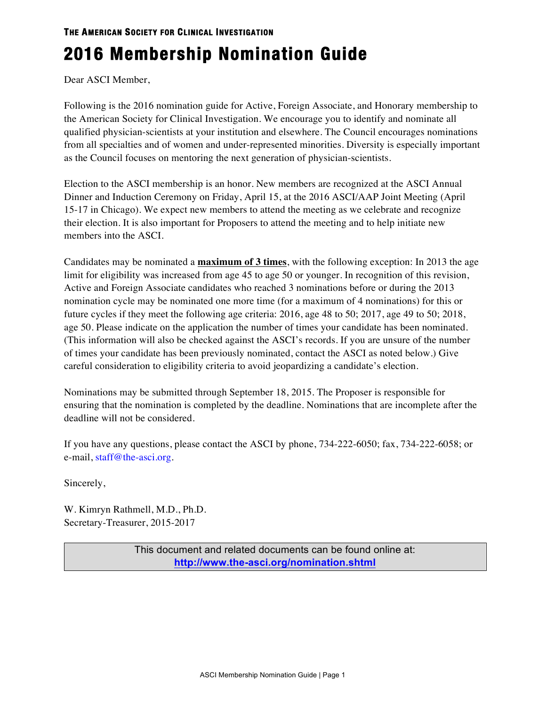# **THE AMERICAN SOCIETY FOR CLINICAL INVESTIGATION**

# **2016 Membership Nomination Guide**

Dear ASCI Member,

Following is the 2016 nomination guide for Active, Foreign Associate, and Honorary membership to the American Society for Clinical Investigation. We encourage you to identify and nominate all qualified physician-scientists at your institution and elsewhere. The Council encourages nominations from all specialties and of women and under-represented minorities. Diversity is especially important as the Council focuses on mentoring the next generation of physician-scientists.

Election to the ASCI membership is an honor. New members are recognized at the ASCI Annual Dinner and Induction Ceremony on Friday, April 15, at the 2016 ASCI/AAP Joint Meeting (April 15-17 in Chicago). We expect new members to attend the meeting as we celebrate and recognize their election. It is also important for Proposers to attend the meeting and to help initiate new members into the ASCI.

Candidates may be nominated a **maximum of 3 times**, with the following exception: In 2013 the age limit for eligibility was increased from age 45 to age 50 or younger. In recognition of this revision, Active and Foreign Associate candidates who reached 3 nominations before or during the 2013 nomination cycle may be nominated one more time (for a maximum of 4 nominations) for this or future cycles if they meet the following age criteria: 2016, age 48 to 50; 2017, age 49 to 50; 2018, age 50. Please indicate on the application the number of times your candidate has been nominated. (This information will also be checked against the ASCI's records. If you are unsure of the number of times your candidate has been previously nominated, contact the ASCI as noted below.) Give careful consideration to eligibility criteria to avoid jeopardizing a candidate's election.

Nominations may be submitted through September 18, 2015. The Proposer is responsible for ensuring that the nomination is completed by the deadline. Nominations that are incomplete after the deadline will not be considered.

If you have any questions, please contact the ASCI by phone, 734-222-6050; fax, 734-222-6058; or e-mail, staff@the-asci.org.

Sincerely,

W. Kimryn Rathmell, M.D., Ph.D. Secretary-Treasurer, 2015-2017

> This document and related documents can be found online at: **http://www.the-asci.org/nomination.shtml**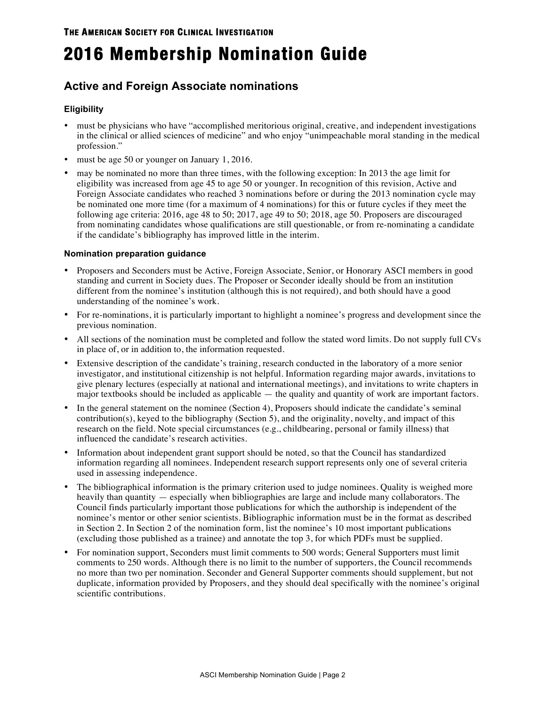# **2016 Membership Nomination Guide**

# **Active and Foreign Associate nominations**

## **Eligibility**

- must be physicians who have "accomplished meritorious original, creative, and independent investigations in the clinical or allied sciences of medicine" and who enjoy "unimpeachable moral standing in the medical profession."
- must be age 50 or younger on January 1, 2016.
- may be nominated no more than three times, with the following exception: In 2013 the age limit for eligibility was increased from age 45 to age 50 or younger. In recognition of this revision, Active and Foreign Associate candidates who reached 3 nominations before or during the 2013 nomination cycle may be nominated one more time (for a maximum of 4 nominations) for this or future cycles if they meet the following age criteria: 2016, age 48 to 50; 2017, age 49 to 50; 2018, age 50. Proposers are discouraged from nominating candidates whose qualifications are still questionable, or from re-nominating a candidate if the candidate's bibliography has improved little in the interim.

### **Nomination preparation guidance**

- Proposers and Seconders must be Active, Foreign Associate, Senior, or Honorary ASCI members in good standing and current in Society dues. The Proposer or Seconder ideally should be from an institution different from the nominee's institution (although this is not required), and both should have a good understanding of the nominee's work.
- For re-nominations, it is particularly important to highlight a nominee's progress and development since the previous nomination.
- All sections of the nomination must be completed and follow the stated word limits. Do not supply full CVs in place of, or in addition to, the information requested.
- Extensive description of the candidate's training, research conducted in the laboratory of a more senior investigator, and institutional citizenship is not helpful. Information regarding major awards, invitations to give plenary lectures (especially at national and international meetings), and invitations to write chapters in major textbooks should be included as applicable — the quality and quantity of work are important factors.
- In the general statement on the nominee (Section 4), Proposers should indicate the candidate's seminal contribution(s), keyed to the bibliography (Section 5), and the originality, novelty, and impact of this research on the field. Note special circumstances (e.g., childbearing, personal or family illness) that influenced the candidate's research activities.
- Information about independent grant support should be noted, so that the Council has standardized information regarding all nominees. Independent research support represents only one of several criteria used in assessing independence.
- The bibliographical information is the primary criterion used to judge nominees. Quality is weighed more heavily than quantity — especially when bibliographies are large and include many collaborators. The Council finds particularly important those publications for which the authorship is independent of the nominee's mentor or other senior scientists. Bibliographic information must be in the format as described in Section 2. In Section 2 of the nomination form, list the nominee's 10 most important publications (excluding those published as a trainee) and annotate the top 3, for which PDFs must be supplied.
- For nomination support, Seconders must limit comments to 500 words; General Supporters must limit comments to 250 words. Although there is no limit to the number of supporters, the Council recommends no more than two per nomination. Seconder and General Supporter comments should supplement, but not duplicate, information provided by Proposers, and they should deal specifically with the nominee's original scientific contributions.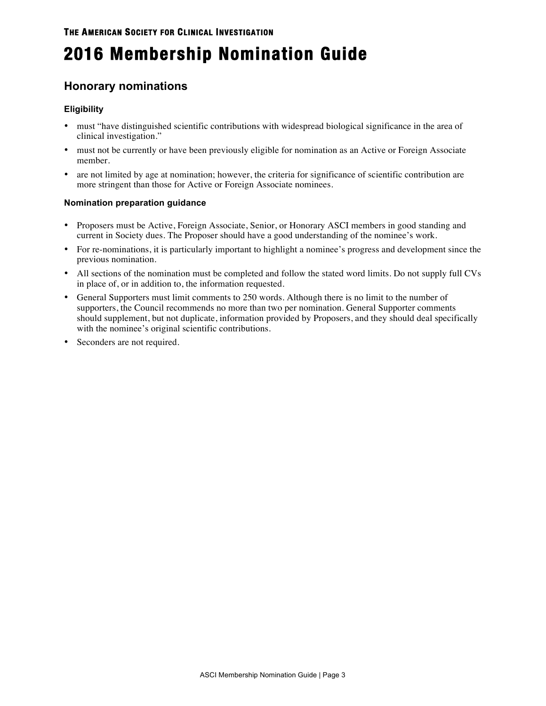# **2016 Membership Nomination Guide**

# **Honorary nominations**

## **Eligibility**

- must "have distinguished scientific contributions with widespread biological significance in the area of clinical investigation."
- must not be currently or have been previously eligible for nomination as an Active or Foreign Associate member.
- are not limited by age at nomination; however, the criteria for significance of scientific contribution are more stringent than those for Active or Foreign Associate nominees.

### **Nomination preparation guidance**

- Proposers must be Active, Foreign Associate, Senior, or Honorary ASCI members in good standing and current in Society dues. The Proposer should have a good understanding of the nominee's work.
- For re-nominations, it is particularly important to highlight a nominee's progress and development since the previous nomination.
- All sections of the nomination must be completed and follow the stated word limits. Do not supply full CVs in place of, or in addition to, the information requested.
- General Supporters must limit comments to 250 words. Although there is no limit to the number of supporters, the Council recommends no more than two per nomination. General Supporter comments should supplement, but not duplicate, information provided by Proposers, and they should deal specifically with the nominee's original scientific contributions.
- Seconders are not required.